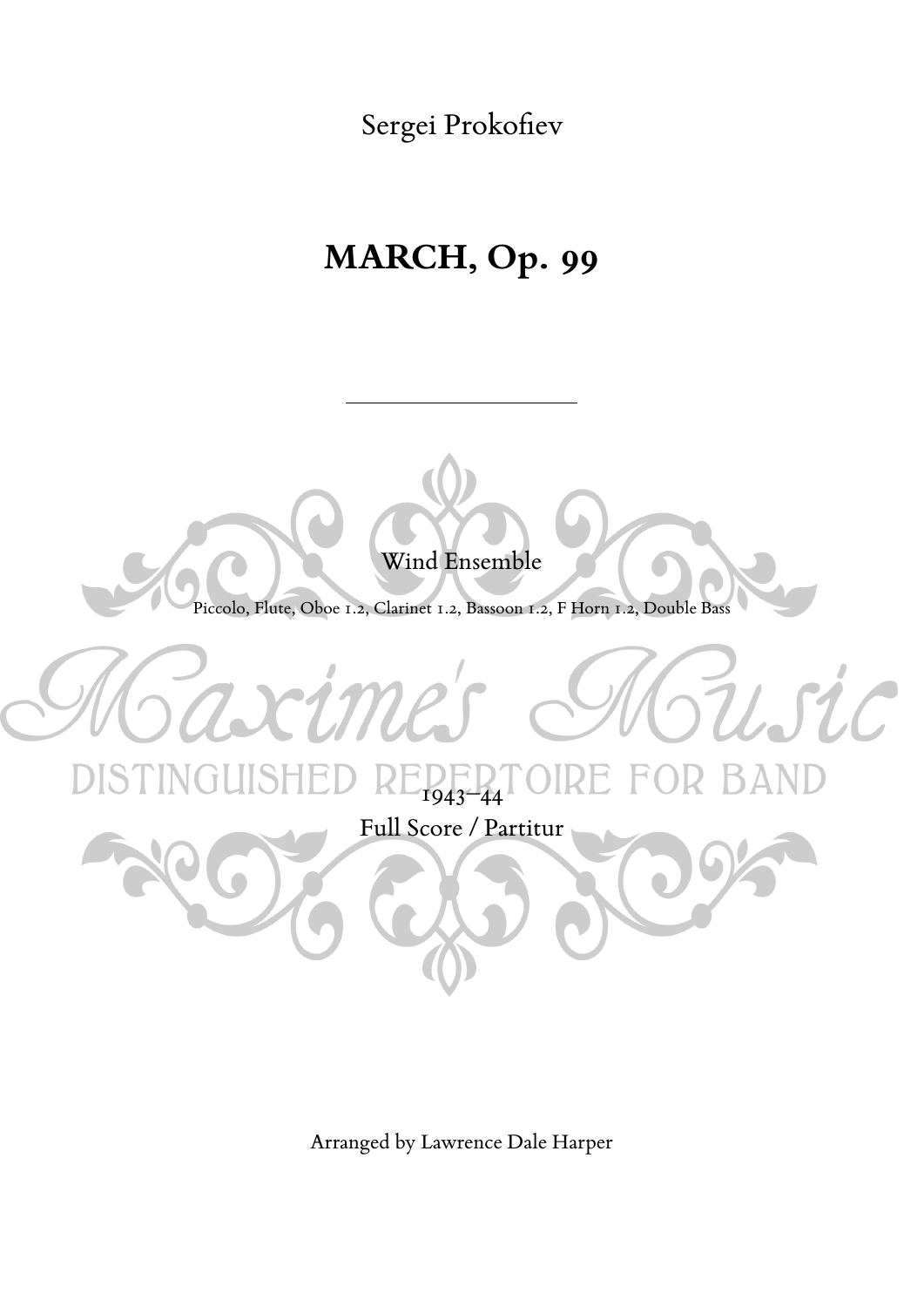Sergei Prokofiev

## MARCH, Op. 99



Arranged by Lawrence Dale Harper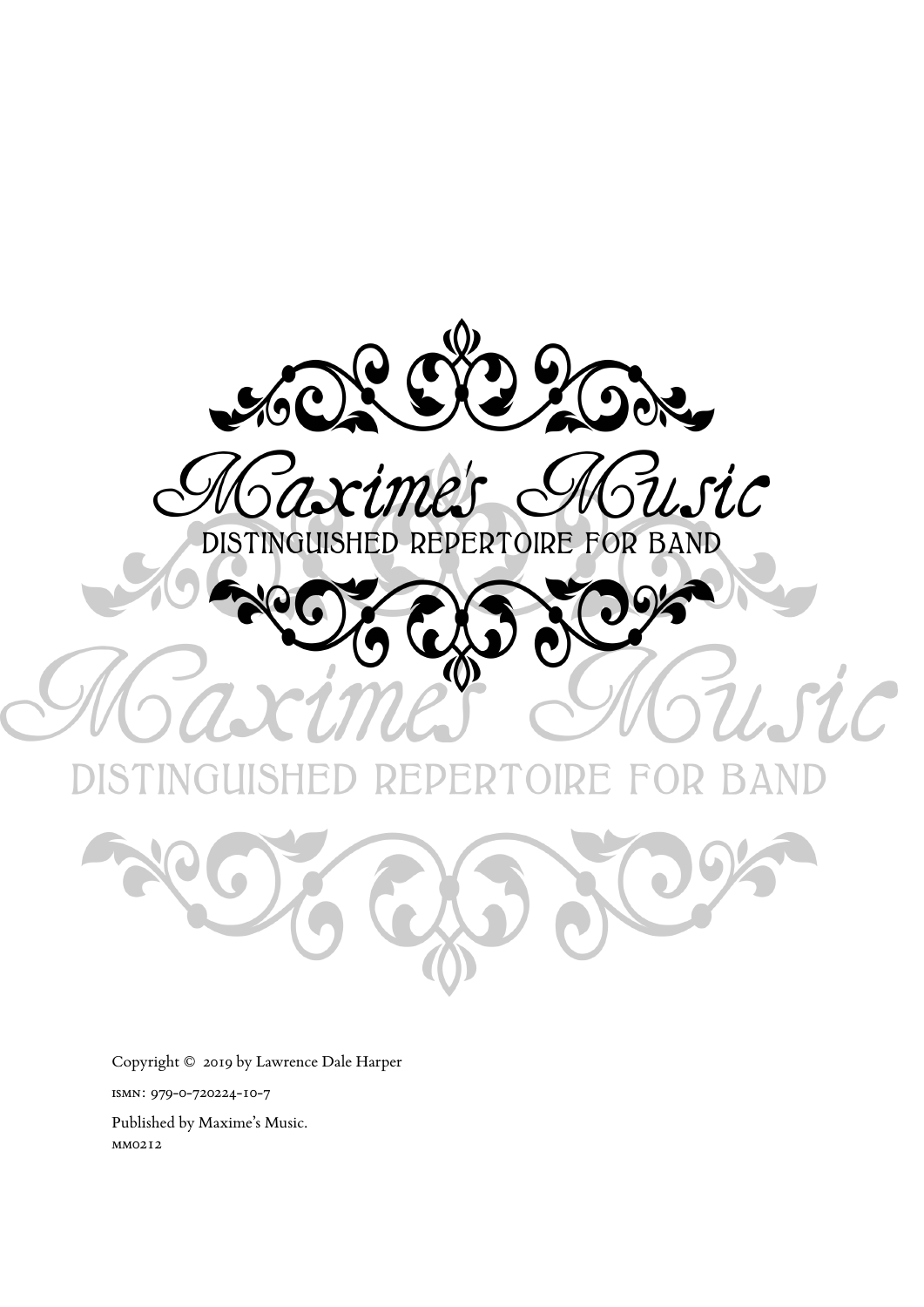

## Copyright © 2019 by Lawrence Dale Harper

ISMN: 979-0-720224-10-7

Published by Maxime's Music. MM02I2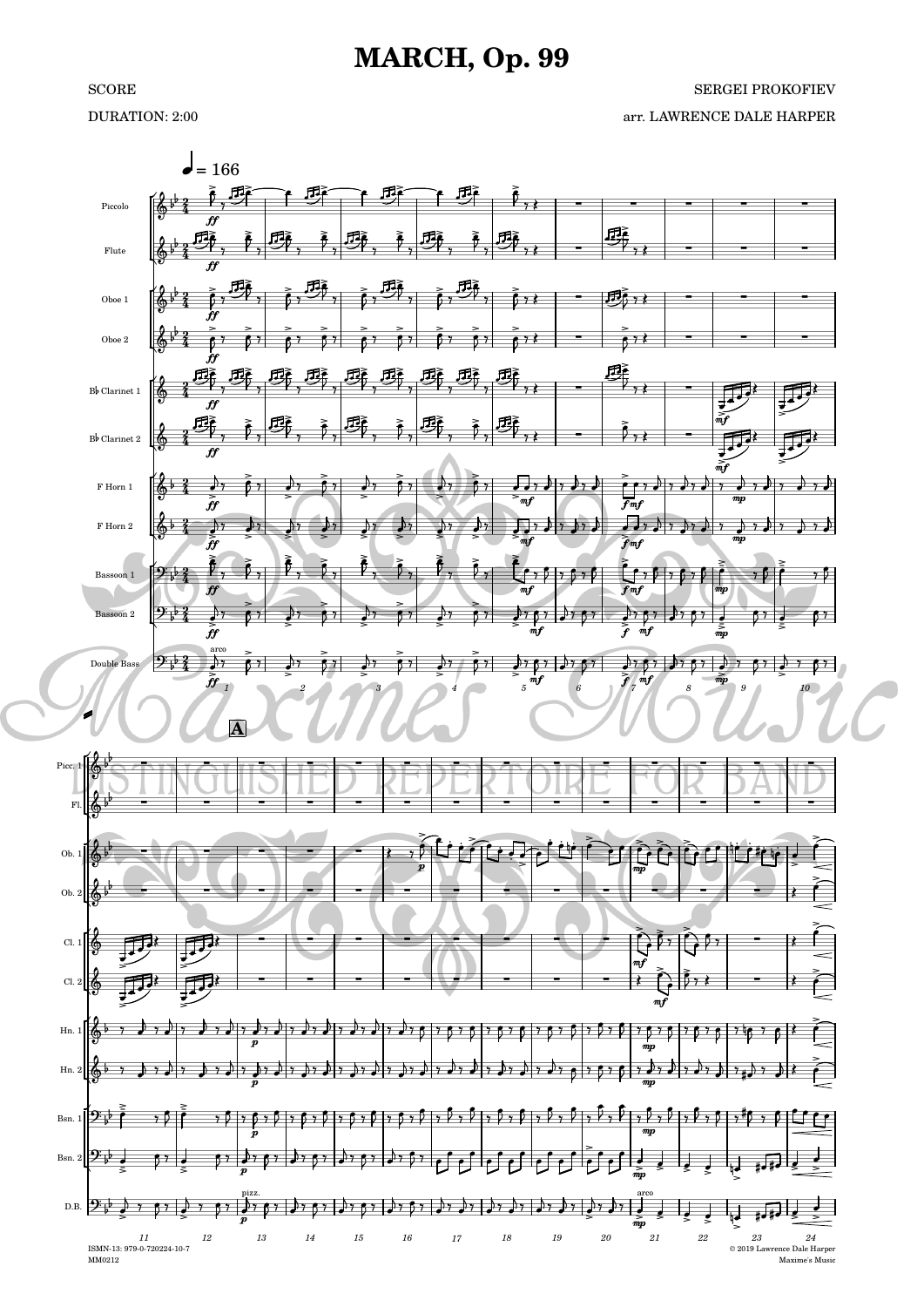## MARCH, Op. 99

**SERGEI PROKOFIEV** 

**DURATION: 2:00** 

**SCORE** 

MM0212

arr. LAWRENCE DALE HARPER

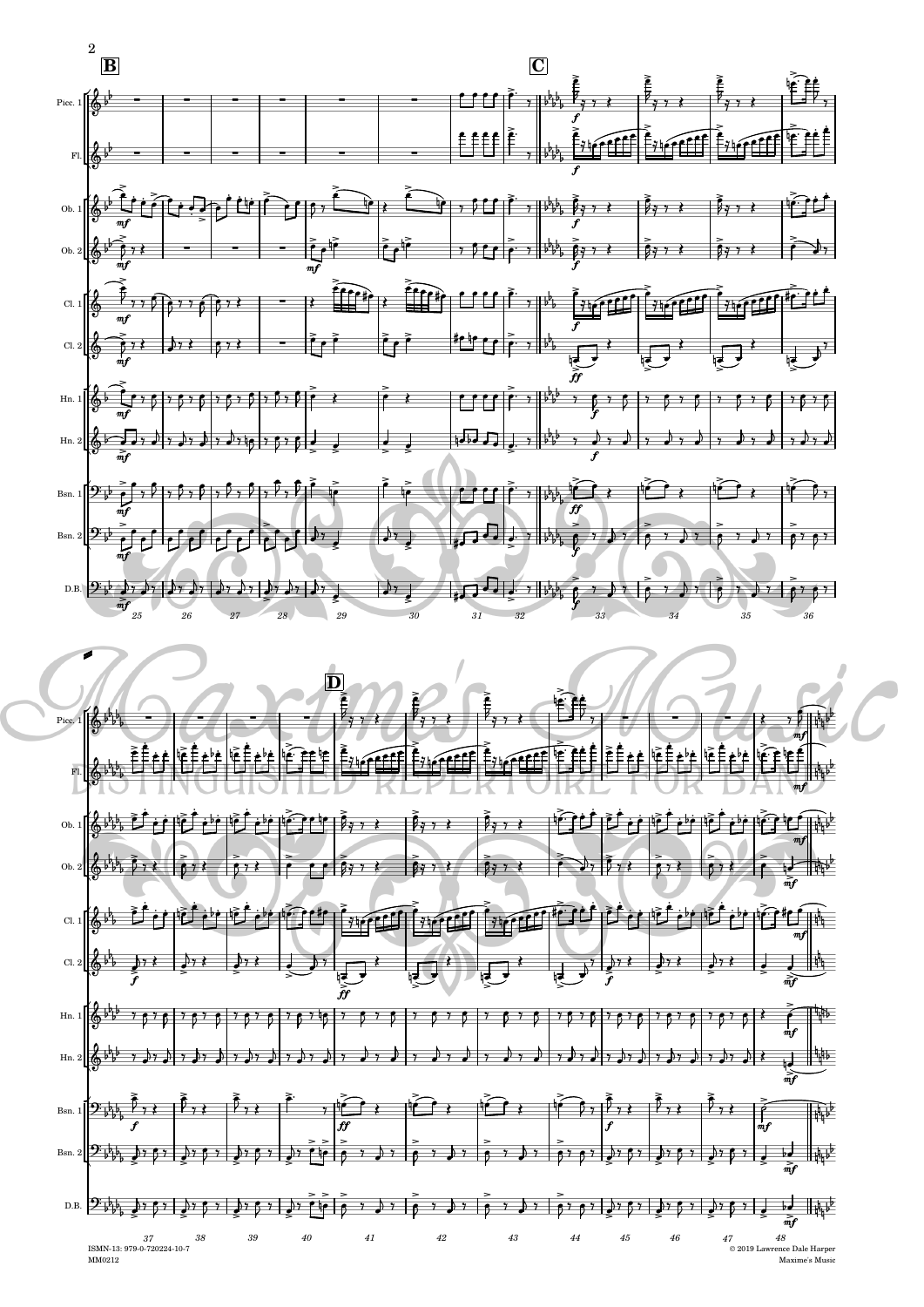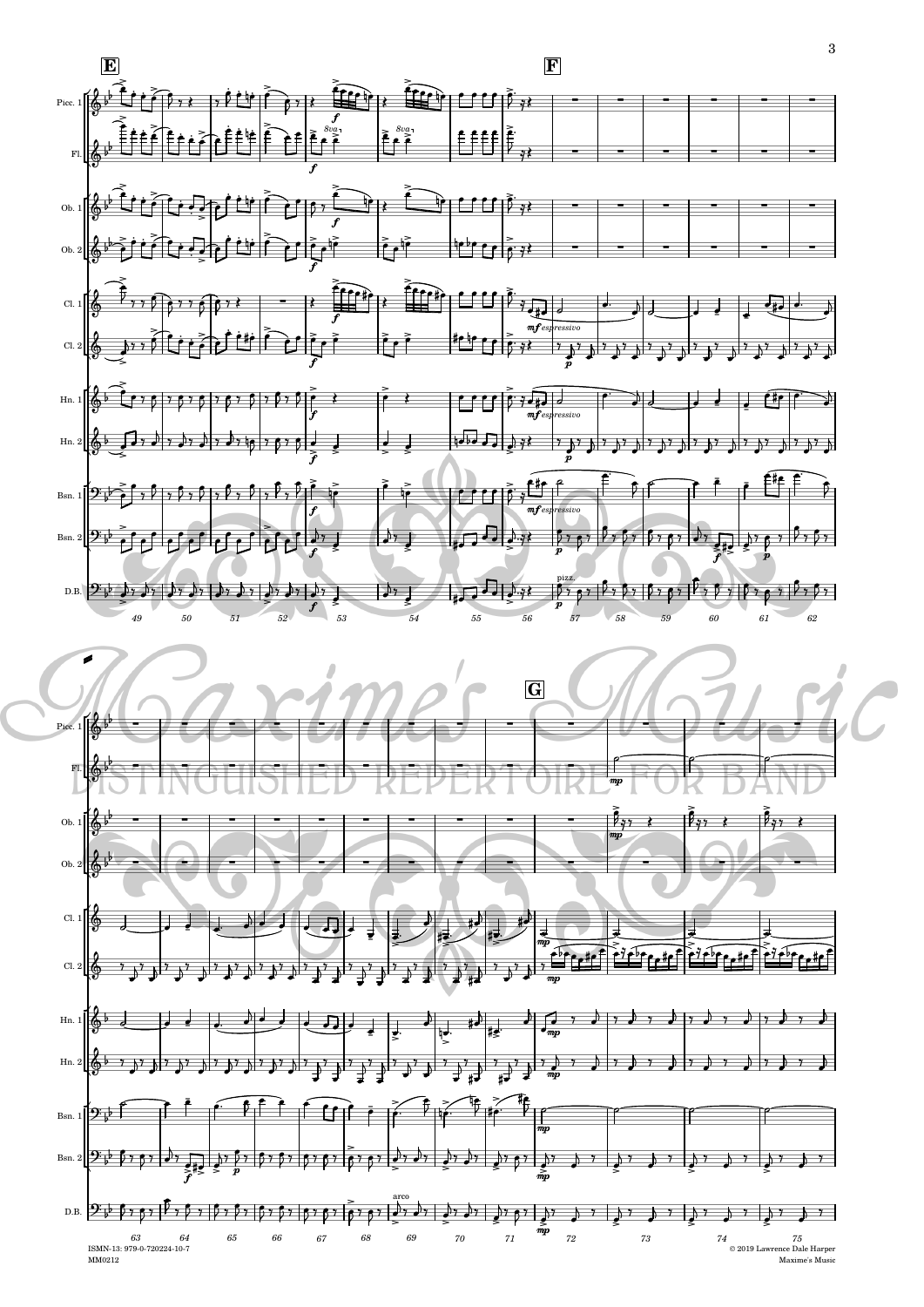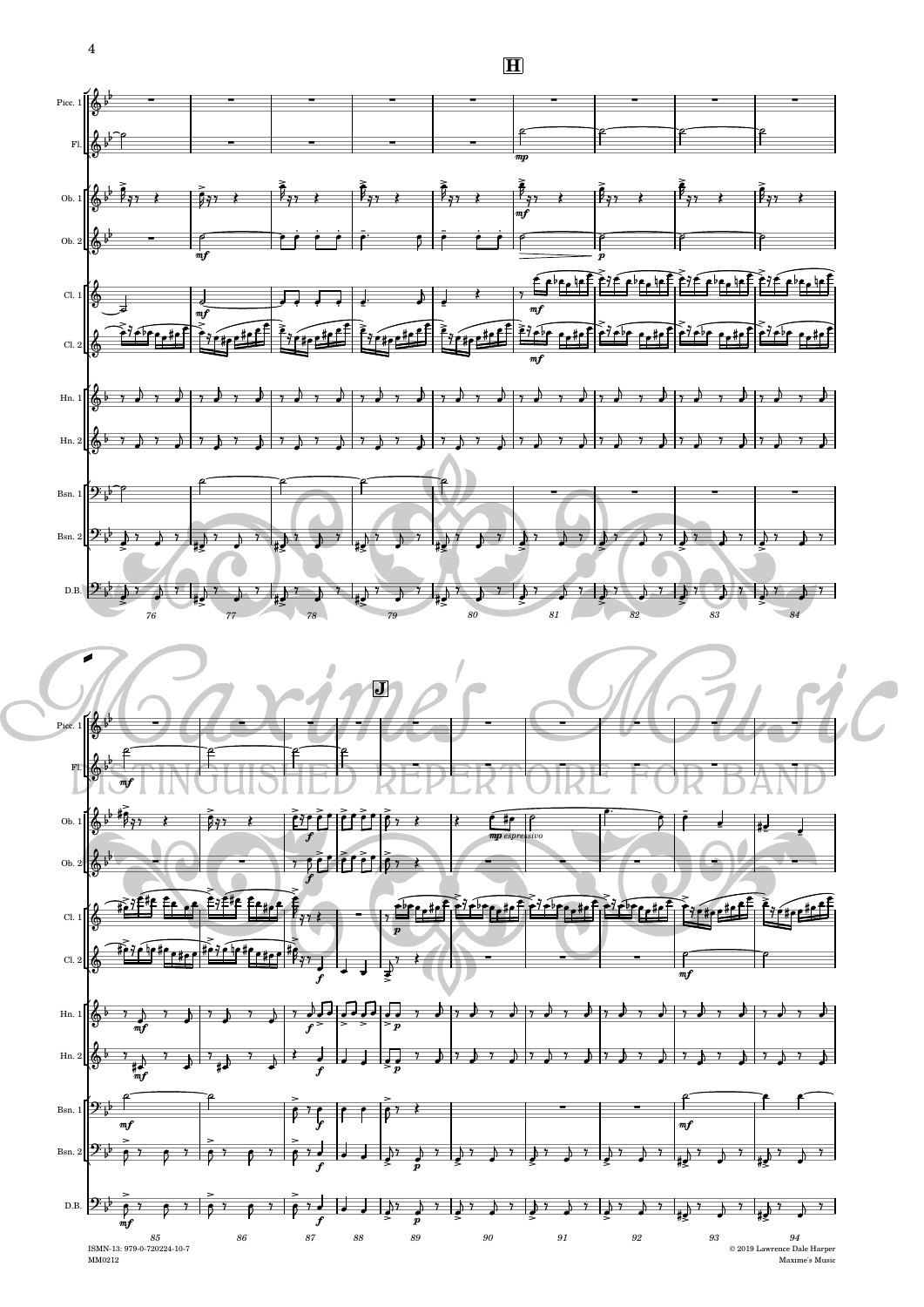

D.B.  $9 \flat \qquad 67$  $\frac{1}{2}$   $\frac{1}{2}$   $\frac{1}{2}$   $\frac{1}{2}$  $\int$   $\int$  $7 \frac{1}{4}$  $\overline{\mathbf{y}}$   $\mathbf{y}$  $7 \frac{1}{2}$  $7 \frac{1}{2}$  $7 \sqrt{7}$  $7 \frac{1}{2}$  $\overline{1}$  $\boldsymbol{p}$ mf 89 90 91 85 87  $95$ 93 94  $@$  2019 Lawrence Dale Harper ISMN-13: 979-0-720224-10-7 MM0212 Maxime's Music

 $\overline{4}$ 

 $\overline{\mathbf{H}}$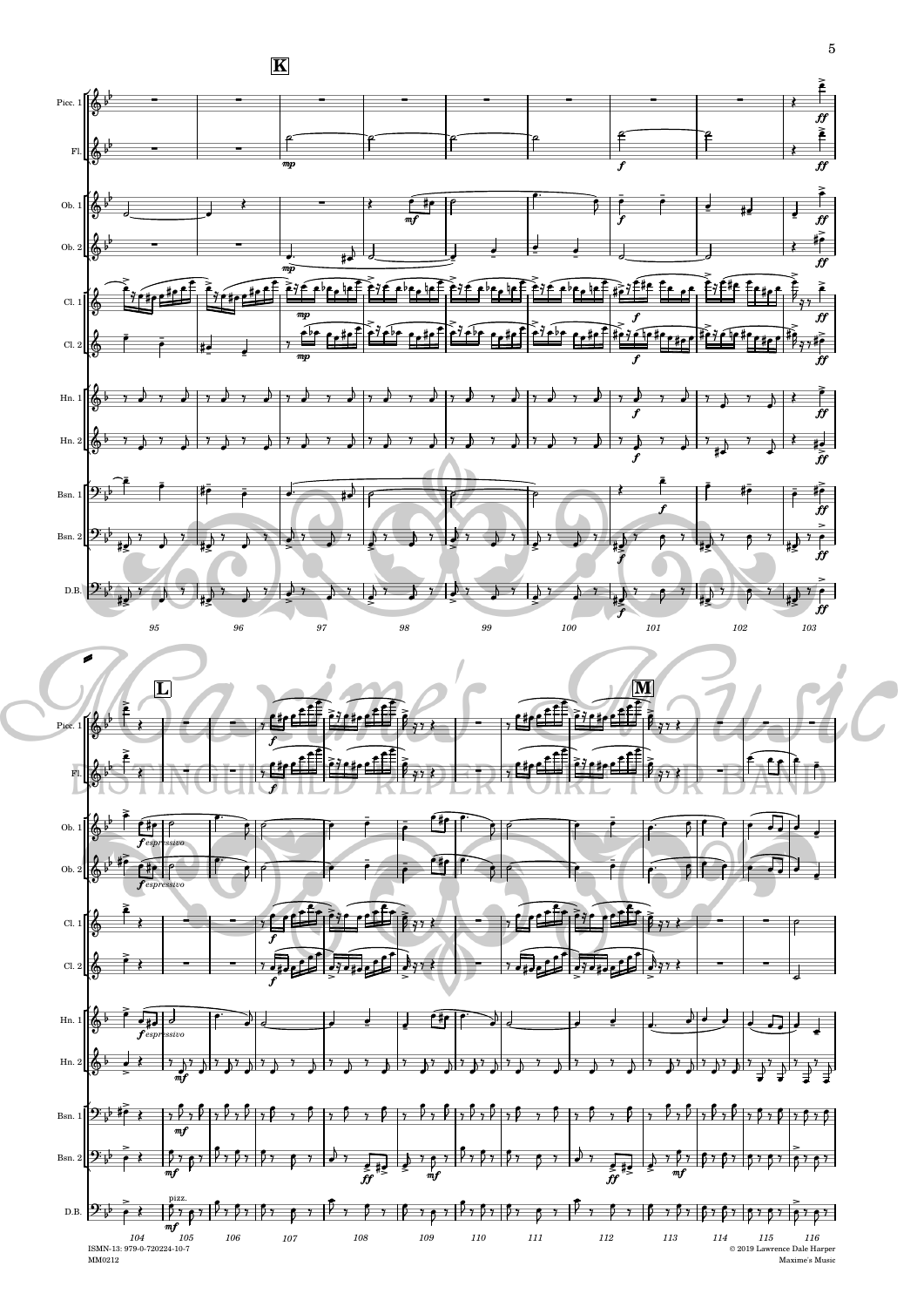

 $\overline{5}$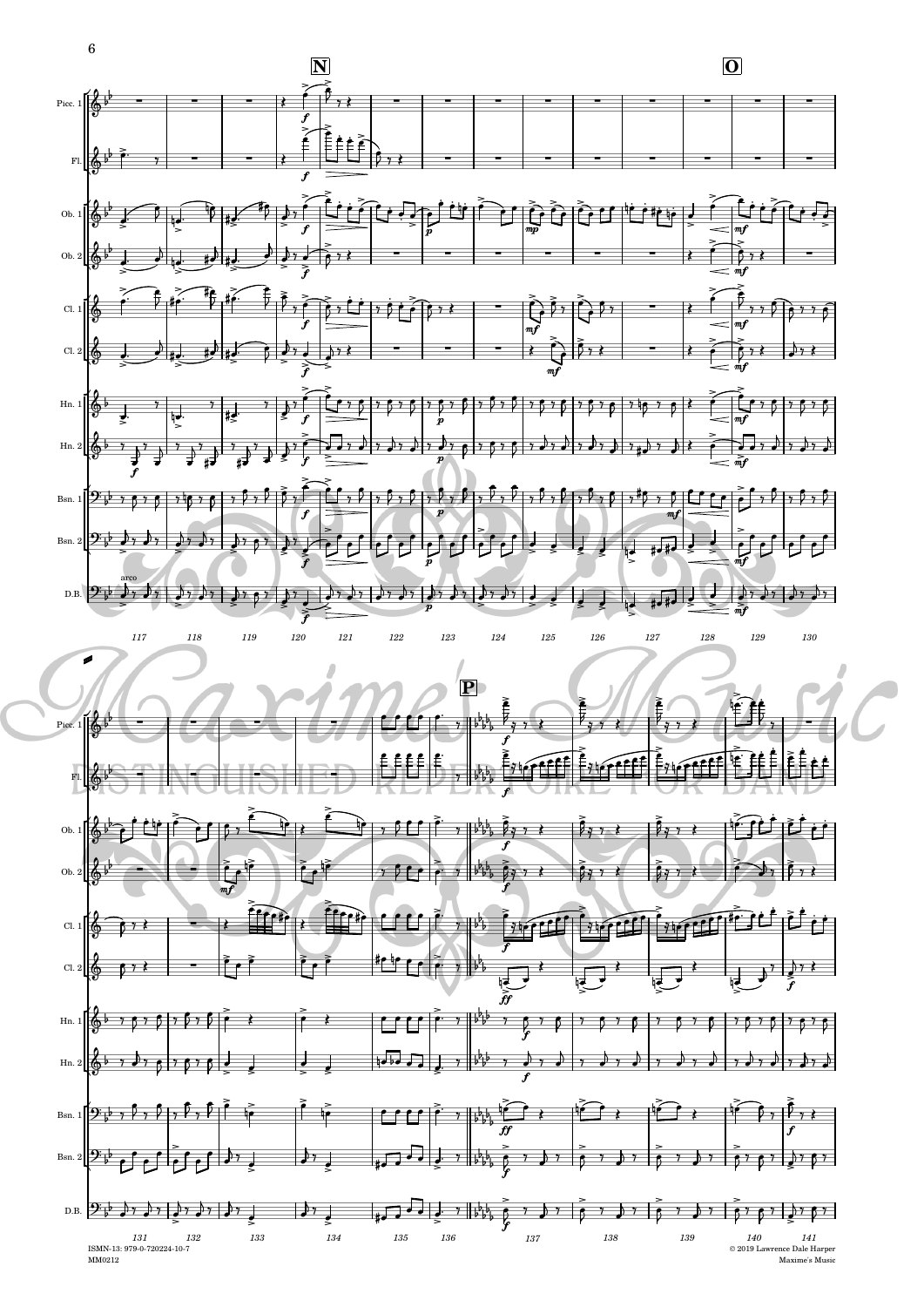